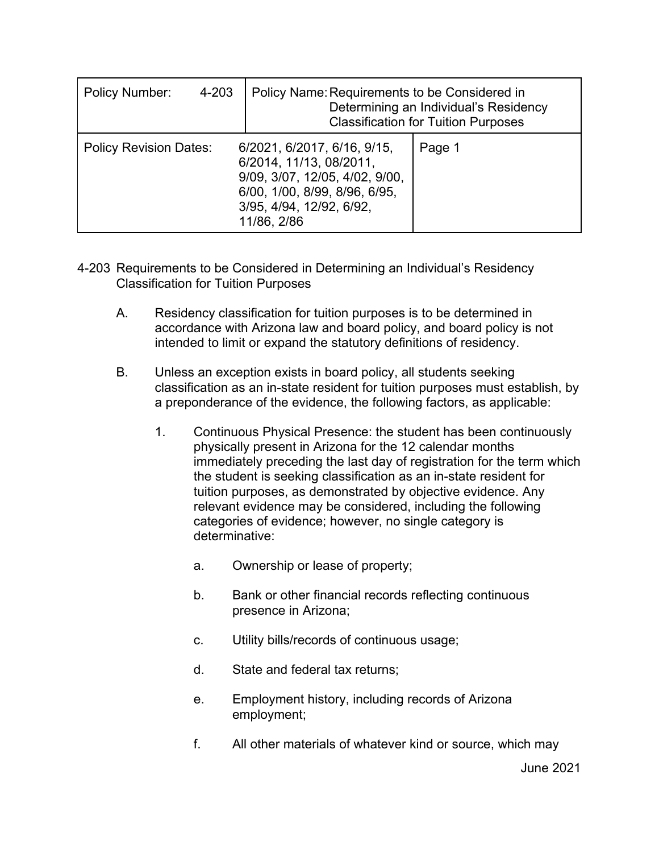| <b>Policy Number:</b><br>4-203 | Policy Name: Requirements to be Considered in                                                                                                                        | Determining an Individual's Residency<br><b>Classification for Tuition Purposes</b> |
|--------------------------------|----------------------------------------------------------------------------------------------------------------------------------------------------------------------|-------------------------------------------------------------------------------------|
| <b>Policy Revision Dates:</b>  | 6/2021, 6/2017, 6/16, 9/15,<br>6/2014, 11/13, 08/2011,<br>9/09, 3/07, 12/05, 4/02, 9/00,<br>6/00, 1/00, 8/99, 8/96, 6/95,<br>3/95, 4/94, 12/92, 6/92,<br>11/86, 2/86 | Page 1                                                                              |

- 4-203 Requirements to be Considered in Determining an Individual's Residency Classification for Tuition Purposes
	- A. Residency classification for tuition purposes is to be determined in accordance with Arizona law and board policy, and board policy is not intended to limit or expand the statutory definitions of residency.
	- B. Unless an exception exists in board policy, all students seeking classification as an in-state resident for tuition purposes must establish, by a preponderance of the evidence, the following factors, as applicable:
		- 1. Continuous Physical Presence: the student has been continuously physically present in Arizona for the 12 calendar months immediately preceding the last day of registration for the term which the student is seeking classification as an in-state resident for tuition purposes, as demonstrated by objective evidence. Any relevant evidence may be considered, including the following categories of evidence; however, no single category is determinative:
			- a. Ownership or lease of property;
			- b. Bank or other financial records reflecting continuous presence in Arizona;
			- c. Utility bills/records of continuous usage;
			- d. State and federal tax returns;
			- e. Employment history, including records of Arizona employment;
			- f. All other materials of whatever kind or source, which may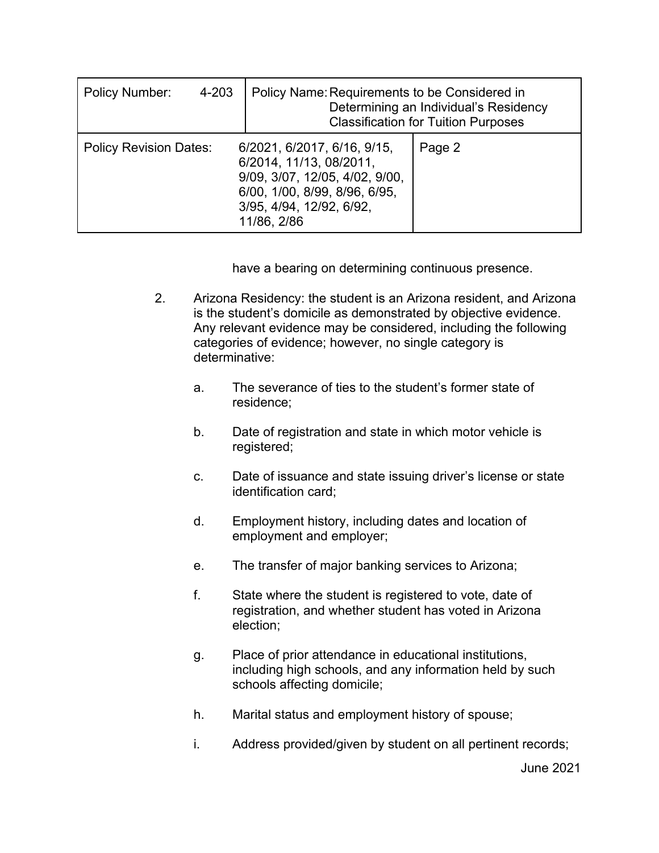| <b>Policy Number:</b><br>4-203 | Policy Name: Requirements to be Considered in<br>Determining an Individual's Residency<br><b>Classification for Tuition Purposes</b>                                 |        |  |
|--------------------------------|----------------------------------------------------------------------------------------------------------------------------------------------------------------------|--------|--|
| <b>Policy Revision Dates:</b>  | 6/2021, 6/2017, 6/16, 9/15,<br>6/2014, 11/13, 08/2011,<br>9/09, 3/07, 12/05, 4/02, 9/00,<br>6/00, 1/00, 8/99, 8/96, 6/95,<br>3/95, 4/94, 12/92, 6/92,<br>11/86, 2/86 | Page 2 |  |

have a bearing on determining continuous presence.

- 2. Arizona Residency: the student is an Arizona resident, and Arizona is the student's domicile as demonstrated by objective evidence. Any relevant evidence may be considered, including the following categories of evidence; however, no single category is determinative:
	- a. The severance of ties to the student's former state of residence;
	- b. Date of registration and state in which motor vehicle is registered;
	- c. Date of issuance and state issuing driver's license or state identification card;
	- d. Employment history, including dates and location of employment and employer;
	- e. The transfer of major banking services to Arizona;
	- f. State where the student is registered to vote, date of registration, and whether student has voted in Arizona election;
	- g. Place of prior attendance in educational institutions, including high schools, and any information held by such schools affecting domicile;
	- h. Marital status and employment history of spouse;
	- i. Address provided/given by student on all pertinent records;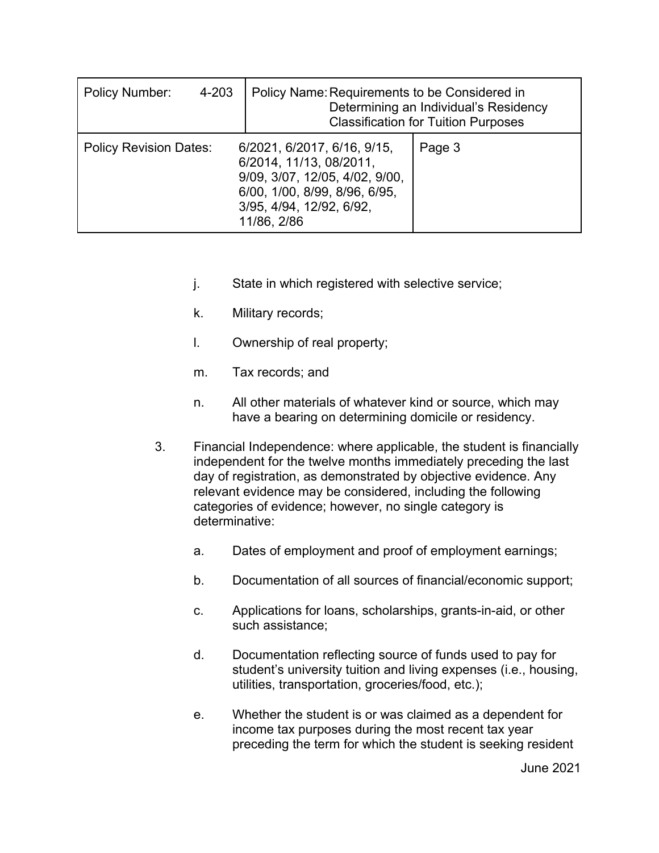| <b>Policy Number:</b><br>4-203 | Policy Name: Requirements to be Considered in<br>Determining an Individual's Residency<br><b>Classification for Tuition Purposes</b>                                 |        |  |
|--------------------------------|----------------------------------------------------------------------------------------------------------------------------------------------------------------------|--------|--|
| <b>Policy Revision Dates:</b>  | 6/2021, 6/2017, 6/16, 9/15,<br>6/2014, 11/13, 08/2011,<br>9/09, 3/07, 12/05, 4/02, 9/00,<br>6/00, 1/00, 8/99, 8/96, 6/95,<br>3/95, 4/94, 12/92, 6/92,<br>11/86, 2/86 | Page 3 |  |

- j. State in which registered with selective service;
- k. Military records;
- l. Ownership of real property;
- m. Tax records; and
- n. All other materials of whatever kind or source, which may have a bearing on determining domicile or residency.
- 3. Financial Independence: where applicable, the student is financially independent for the twelve months immediately preceding the last day of registration, as demonstrated by objective evidence. Any relevant evidence may be considered, including the following categories of evidence; however, no single category is determinative:
	- a. Dates of employment and proof of employment earnings;
	- b. Documentation of all sources of financial/economic support;
	- c. Applications for loans, scholarships, grants-in-aid, or other such assistance;
	- d. Documentation reflecting source of funds used to pay for student's university tuition and living expenses (i.e., housing, utilities, transportation, groceries/food, etc.);
	- e. Whether the student is or was claimed as a dependent for income tax purposes during the most recent tax year preceding the term for which the student is seeking resident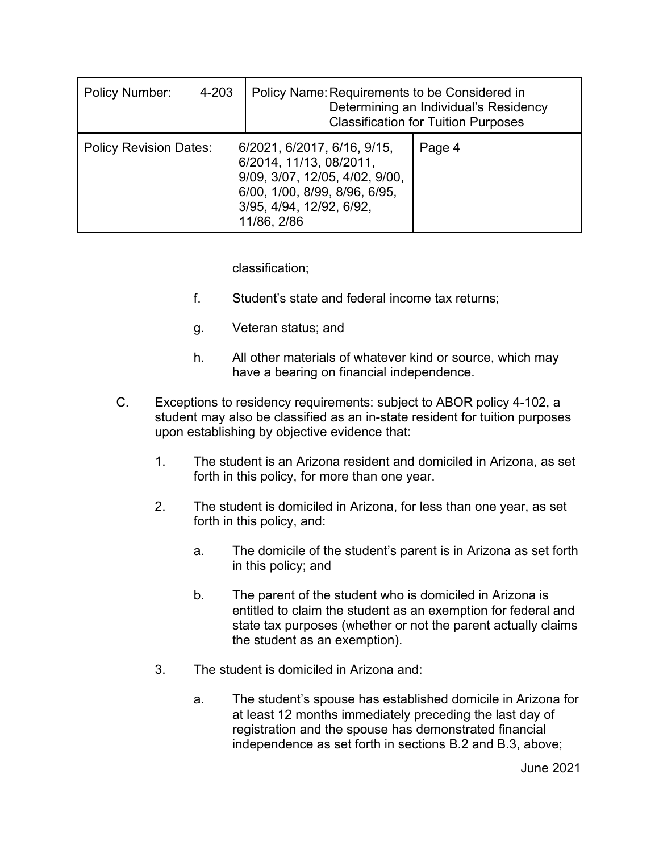| 4-203<br><b>Policy Number:</b> |                                                                                                                                                                      | Policy Name: Requirements to be Considered in<br>Determining an Individual's Residency<br><b>Classification for Tuition Purposes</b> |        |  |
|--------------------------------|----------------------------------------------------------------------------------------------------------------------------------------------------------------------|--------------------------------------------------------------------------------------------------------------------------------------|--------|--|
| <b>Policy Revision Dates:</b>  | 6/2021, 6/2017, 6/16, 9/15,<br>6/2014, 11/13, 08/2011,<br>9/09, 3/07, 12/05, 4/02, 9/00,<br>6/00, 1/00, 8/99, 8/96, 6/95,<br>3/95, 4/94, 12/92, 6/92,<br>11/86, 2/86 |                                                                                                                                      | Page 4 |  |

classification;

- f. Student's state and federal income tax returns;
- g. Veteran status; and
- h. All other materials of whatever kind or source, which may have a bearing on financial independence.
- C. Exceptions to residency requirements: subject to ABOR policy 4-102, a student may also be classified as an in-state resident for tuition purposes upon establishing by objective evidence that:
	- 1. The student is an Arizona resident and domiciled in Arizona, as set forth in this policy, for more than one year.
	- 2. The student is domiciled in Arizona, for less than one year, as set forth in this policy, and:
		- a. The domicile of the student's parent is in Arizona as set forth in this policy; and
		- b. The parent of the student who is domiciled in Arizona is entitled to claim the student as an exemption for federal and state tax purposes (whether or not the parent actually claims the student as an exemption).
	- 3. The student is domiciled in Arizona and:
		- a. The student's spouse has established domicile in Arizona for at least 12 months immediately preceding the last day of registration and the spouse has demonstrated financial independence as set forth in sections B.2 and B.3, above;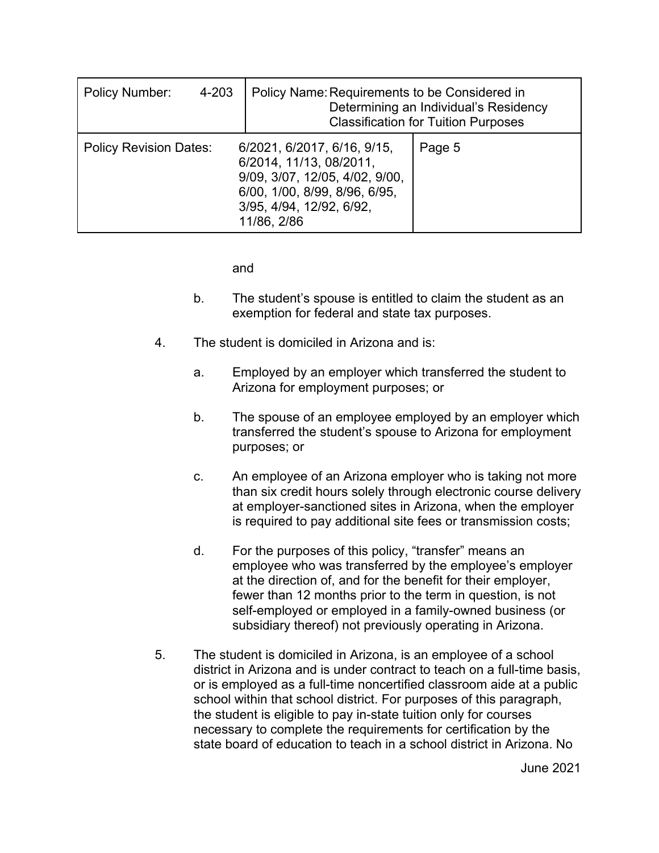| <b>Policy Number:</b><br>4-203 | Policy Name: Requirements to be Considered in<br>Determining an Individual's Residency<br><b>Classification for Tuition Purposes</b>                                 |        |  |
|--------------------------------|----------------------------------------------------------------------------------------------------------------------------------------------------------------------|--------|--|
| <b>Policy Revision Dates:</b>  | 6/2021, 6/2017, 6/16, 9/15,<br>6/2014, 11/13, 08/2011,<br>9/09, 3/07, 12/05, 4/02, 9/00,<br>6/00, 1/00, 8/99, 8/96, 6/95,<br>3/95, 4/94, 12/92, 6/92,<br>11/86, 2/86 | Page 5 |  |

and

- b. The student's spouse is entitled to claim the student as an exemption for federal and state tax purposes.
- 4. The student is domiciled in Arizona and is:
	- a. Employed by an employer which transferred the student to Arizona for employment purposes; or
	- b. The spouse of an employee employed by an employer which transferred the student's spouse to Arizona for employment purposes; or
	- c. An employee of an Arizona employer who is taking not more than six credit hours solely through electronic course delivery at employer-sanctioned sites in Arizona, when the employer is required to pay additional site fees or transmission costs;
	- d. For the purposes of this policy, "transfer" means an employee who was transferred by the employee's employer at the direction of, and for the benefit for their employer, fewer than 12 months prior to the term in question, is not self-employed or employed in a family-owned business (or subsidiary thereof) not previously operating in Arizona.
- 5. The student is domiciled in Arizona, is an employee of a school district in Arizona and is under contract to teach on a full-time basis, or is employed as a full-time noncertified classroom aide at a public school within that school district. For purposes of this paragraph, the student is eligible to pay in-state tuition only for courses necessary to complete the requirements for certification by the state board of education to teach in a school district in Arizona. No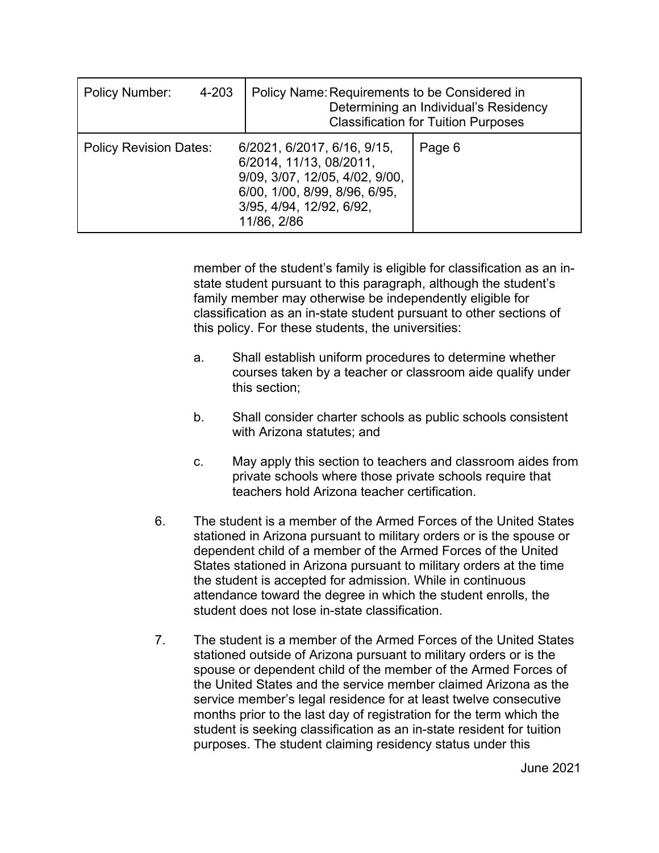| Policy Number:                                                                                                                                                                                        | 4-203 | Policy Name: Requirements to be Considered in<br>Determining an Individual's Residency<br><b>Classification for Tuition Purposes</b> |  |  |
|-------------------------------------------------------------------------------------------------------------------------------------------------------------------------------------------------------|-------|--------------------------------------------------------------------------------------------------------------------------------------|--|--|
| 6/2021, 6/2017, 6/16, 9/15,<br><b>Policy Revision Dates:</b><br>6/2014, 11/13, 08/2011,<br>9/09, 3/07, 12/05, 4/02, 9/00,<br>6/00, 1/00, 8/99, 8/96, 6/95,<br>3/95, 4/94, 12/92, 6/92,<br>11/86, 2/86 |       | Page 6                                                                                                                               |  |  |

member of the student's family is eligible for classification as an instate student pursuant to this paragraph, although the student's family member may otherwise be independently eligible for classification as an in-state student pursuant to other sections of this policy. For these students, the universities:

- a. Shall establish uniform procedures to determine whether courses taken by a teacher or classroom aide qualify under this section;
- b. Shall consider charter schools as public schools consistent with Arizona statutes; and
- c. May apply this section to teachers and classroom aides from private schools where those private schools require that teachers hold Arizona teacher certification.
- 6. The student is a member of the Armed Forces of the United States stationed in Arizona pursuant to military orders or is the spouse or dependent child of a member of the Armed Forces of the United States stationed in Arizona pursuant to military orders at the time the student is accepted for admission. While in continuous attendance toward the degree in which the student enrolls, the student does not lose in-state classification.
- 7. The student is a member of the Armed Forces of the United States stationed outside of Arizona pursuant to military orders or is the spouse or dependent child of the member of the Armed Forces of the United States and the service member claimed Arizona as the service member's legal residence for at least twelve consecutive months prior to the last day of registration for the term which the student is seeking classification as an in-state resident for tuition purposes. The student claiming residency status under this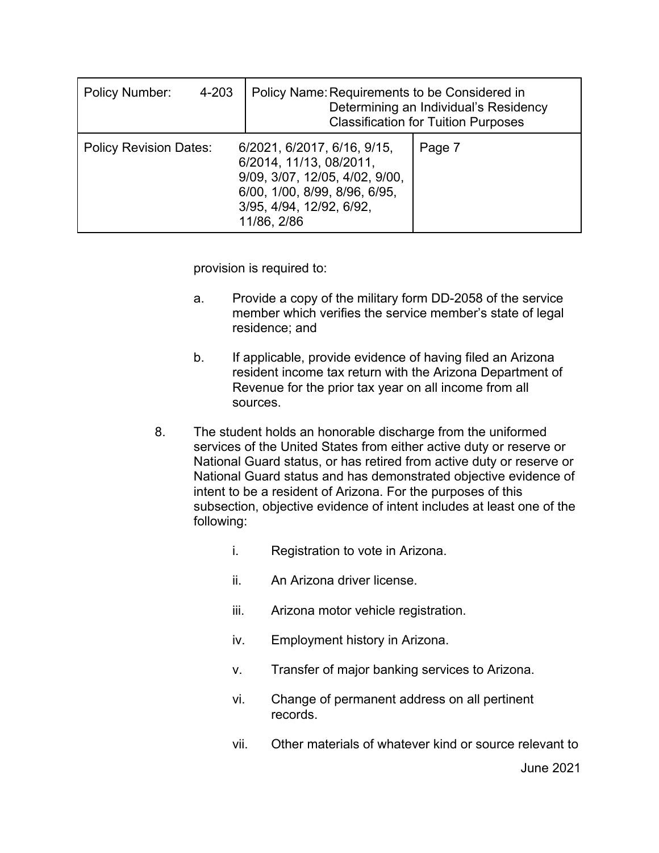| <b>Policy Number:</b>         | 4-203                                                                                                                                                                | Policy Name: Requirements to be Considered in<br>Determining an Individual's Residency<br><b>Classification for Tuition Purposes</b> |        |  |
|-------------------------------|----------------------------------------------------------------------------------------------------------------------------------------------------------------------|--------------------------------------------------------------------------------------------------------------------------------------|--------|--|
| <b>Policy Revision Dates:</b> | 6/2021, 6/2017, 6/16, 9/15,<br>6/2014, 11/13, 08/2011,<br>9/09, 3/07, 12/05, 4/02, 9/00,<br>6/00, 1/00, 8/99, 8/96, 6/95,<br>3/95, 4/94, 12/92, 6/92,<br>11/86, 2/86 |                                                                                                                                      | Page 7 |  |

provision is required to:

- a. Provide a copy of the military form DD-2058 of the service member which verifies the service member's state of legal residence; and
- b. If applicable, provide evidence of having filed an Arizona resident income tax return with the Arizona Department of Revenue for the prior tax year on all income from all sources.
- 8. The student holds an honorable discharge from the uniformed services of the United States from either active duty or reserve or National Guard status, or has retired from active duty or reserve or National Guard status and has demonstrated objective evidence of intent to be a resident of Arizona. For the purposes of this subsection, objective evidence of intent includes at least one of the following:
	- i. Registration to vote in Arizona.
	- ii. An Arizona driver license.
	- iii. Arizona motor vehicle registration.
	- iv. Employment history in Arizona.
	- v. Transfer of major banking services to Arizona.
	- vi. Change of permanent address on all pertinent records.
	- vii. Other materials of whatever kind or source relevant to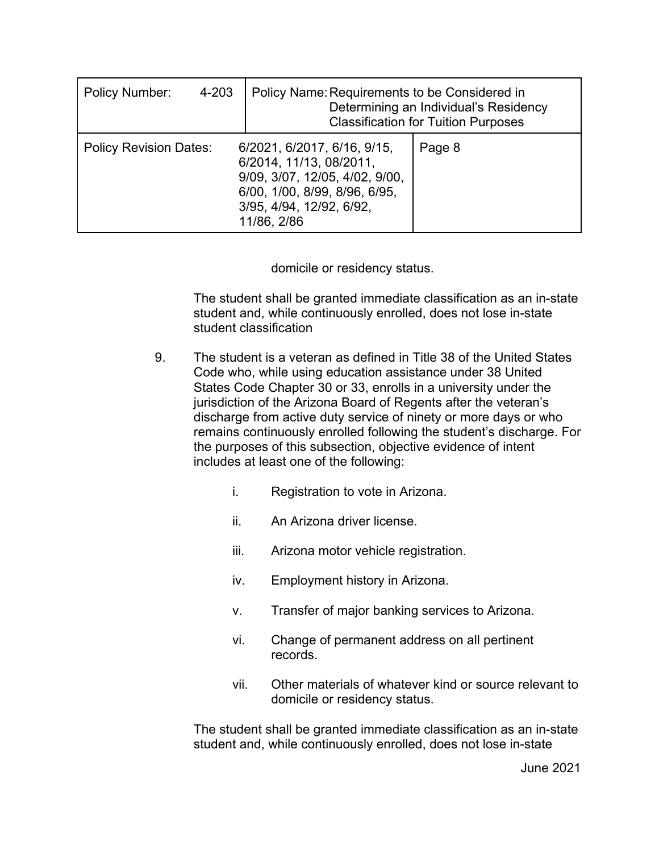| <b>Policy Number:</b>         | 4-203 | Policy Name: Requirements to be Considered in<br>Determining an Individual's Residency<br><b>Classification for Tuition Purposes</b>                                 |        |
|-------------------------------|-------|----------------------------------------------------------------------------------------------------------------------------------------------------------------------|--------|
| <b>Policy Revision Dates:</b> |       | 6/2021, 6/2017, 6/16, 9/15,<br>6/2014, 11/13, 08/2011,<br>9/09, 3/07, 12/05, 4/02, 9/00,<br>6/00, 1/00, 8/99, 8/96, 6/95,<br>3/95, 4/94, 12/92, 6/92,<br>11/86, 2/86 | Page 8 |

domicile or residency status.

The student shall be granted immediate classification as an in-state student and, while continuously enrolled, does not lose in-state student classification

- 9. The student is a veteran as defined in Title 38 of the United States Code who, while using education assistance under 38 United States Code Chapter 30 or 33, enrolls in a university under the jurisdiction of the Arizona Board of Regents after the veteran's discharge from active duty service of ninety or more days or who remains continuously enrolled following the student's discharge. For the purposes of this subsection, objective evidence of intent includes at least one of the following:
	- i. Registration to vote in Arizona.
	- ii. An Arizona driver license.
	- iii. Arizona motor vehicle registration.
	- iv. Employment history in Arizona.
	- v. Transfer of major banking services to Arizona.
	- vi. Change of permanent address on all pertinent records.
	- vii. Other materials of whatever kind or source relevant to domicile or residency status.

The student shall be granted immediate classification as an in-state student and, while continuously enrolled, does not lose in-state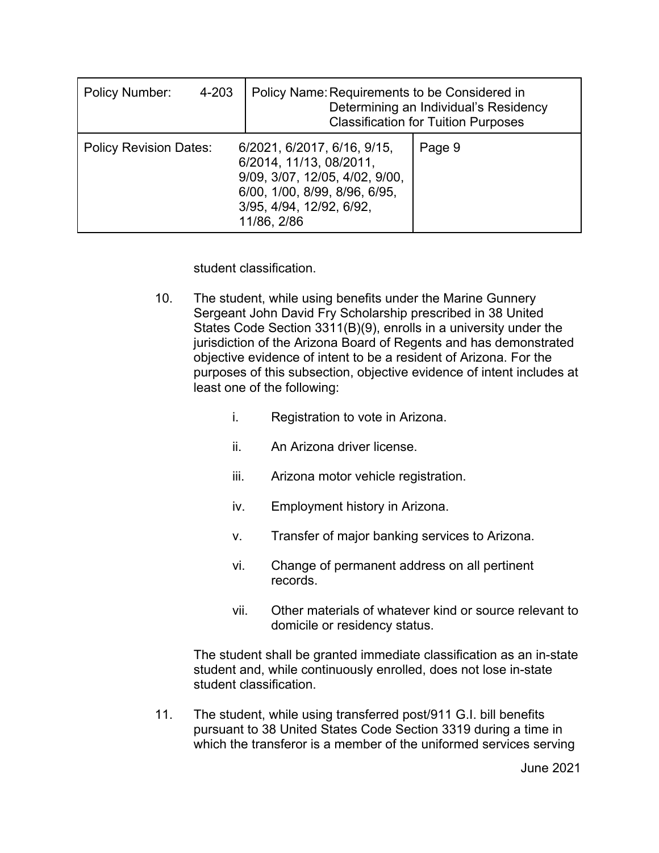| <b>Policy Number:</b><br>4-203 | Policy Name: Requirements to be Considered in                                                                                                                        | Determining an Individual's Residency<br><b>Classification for Tuition Purposes</b> |
|--------------------------------|----------------------------------------------------------------------------------------------------------------------------------------------------------------------|-------------------------------------------------------------------------------------|
| <b>Policy Revision Dates:</b>  | 6/2021, 6/2017, 6/16, 9/15,<br>6/2014, 11/13, 08/2011,<br>9/09, 3/07, 12/05, 4/02, 9/00,<br>6/00, 1/00, 8/99, 8/96, 6/95,<br>3/95, 4/94, 12/92, 6/92,<br>11/86, 2/86 | Page 9                                                                              |

student classification.

- 10. The student, while using benefits under the Marine Gunnery Sergeant John David Fry Scholarship prescribed in 38 United States Code Section 3311(B)(9), enrolls in a university under the jurisdiction of the Arizona Board of Regents and has demonstrated objective evidence of intent to be a resident of Arizona. For the purposes of this subsection, objective evidence of intent includes at least one of the following:
	- i. Registration to vote in Arizona.
	- ii. An Arizona driver license.
	- iii. Arizona motor vehicle registration.
	- iv. Employment history in Arizona.
	- v. Transfer of major banking services to Arizona.
	- vi. Change of permanent address on all pertinent records.
	- vii. Other materials of whatever kind or source relevant to domicile or residency status.

The student shall be granted immediate classification as an in-state student and, while continuously enrolled, does not lose in-state student classification.

11. The student, while using transferred post/911 G.I. bill benefits pursuant to 38 United States Code Section 3319 during a time in which the transferor is a member of the uniformed services serving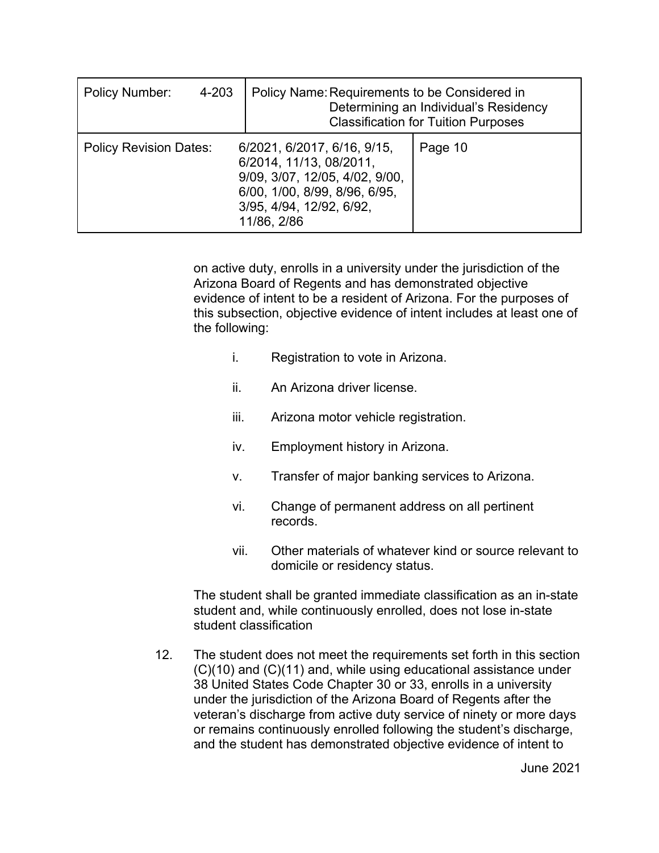| Policy Number:<br>4-203                                                                                                                                                                               |  | Policy Name: Requirements to be Considered in<br>Determining an Individual's Residency<br><b>Classification for Tuition Purposes</b> |  |  |
|-------------------------------------------------------------------------------------------------------------------------------------------------------------------------------------------------------|--|--------------------------------------------------------------------------------------------------------------------------------------|--|--|
| 6/2021, 6/2017, 6/16, 9/15,<br><b>Policy Revision Dates:</b><br>6/2014, 11/13, 08/2011,<br>9/09, 3/07, 12/05, 4/02, 9/00,<br>6/00, 1/00, 8/99, 8/96, 6/95,<br>3/95, 4/94, 12/92, 6/92,<br>11/86, 2/86 |  | Page 10                                                                                                                              |  |  |

on active duty, enrolls in a university under the jurisdiction of the Arizona Board of Regents and has demonstrated objective evidence of intent to be a resident of Arizona. For the purposes of this subsection, objective evidence of intent includes at least one of the following:

- i. Registration to vote in Arizona.
- ii. An Arizona driver license.
- iii. Arizona motor vehicle registration.
- iv. Employment history in Arizona.
- v. Transfer of major banking services to Arizona.
- vi. Change of permanent address on all pertinent records.
- vii. Other materials of whatever kind or source relevant to domicile or residency status.

The student shall be granted immediate classification as an in-state student and, while continuously enrolled, does not lose in-state student classification

12. The student does not meet the requirements set forth in this section (C)(10) and (C)(11) and, while using educational assistance under 38 United States Code Chapter 30 or 33, enrolls in a university under the jurisdiction of the Arizona Board of Regents after the veteran's discharge from active duty service of ninety or more days or remains continuously enrolled following the student's discharge, and the student has demonstrated objective evidence of intent to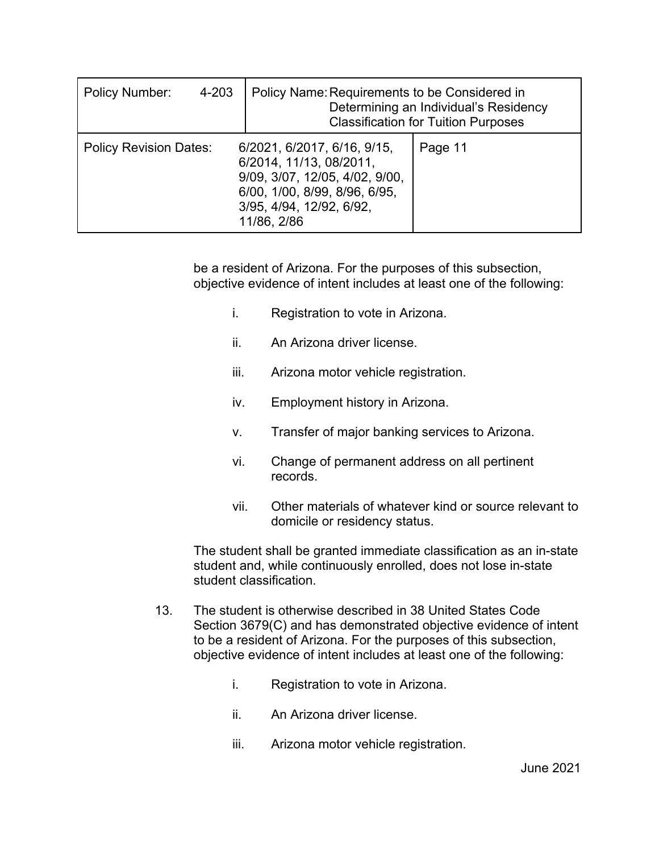| <b>Policy Number:</b><br>4-203 | Policy Name: Requirements to be Considered in<br>Determining an Individual's Residency<br><b>Classification for Tuition Purposes</b>                                 |         |  |
|--------------------------------|----------------------------------------------------------------------------------------------------------------------------------------------------------------------|---------|--|
| <b>Policy Revision Dates:</b>  | 6/2021, 6/2017, 6/16, 9/15,<br>6/2014, 11/13, 08/2011,<br>9/09, 3/07, 12/05, 4/02, 9/00,<br>6/00, 1/00, 8/99, 8/96, 6/95,<br>3/95, 4/94, 12/92, 6/92,<br>11/86, 2/86 | Page 11 |  |

be a resident of Arizona. For the purposes of this subsection, objective evidence of intent includes at least one of the following:

- i. Registration to vote in Arizona.
- ii. An Arizona driver license.
- iii. Arizona motor vehicle registration.
- iv. Employment history in Arizona.
- v. Transfer of major banking services to Arizona.
- vi. Change of permanent address on all pertinent records.
- vii. Other materials of whatever kind or source relevant to domicile or residency status.

The student shall be granted immediate classification as an in-state student and, while continuously enrolled, does not lose in-state student classification.

- 13. The student is otherwise described in 38 United States Code Section 3679(C) and has demonstrated objective evidence of intent to be a resident of Arizona. For the purposes of this subsection, objective evidence of intent includes at least one of the following:
	- i. Registration to vote in Arizona.
	- ii. An Arizona driver license.
	- iii. Arizona motor vehicle registration.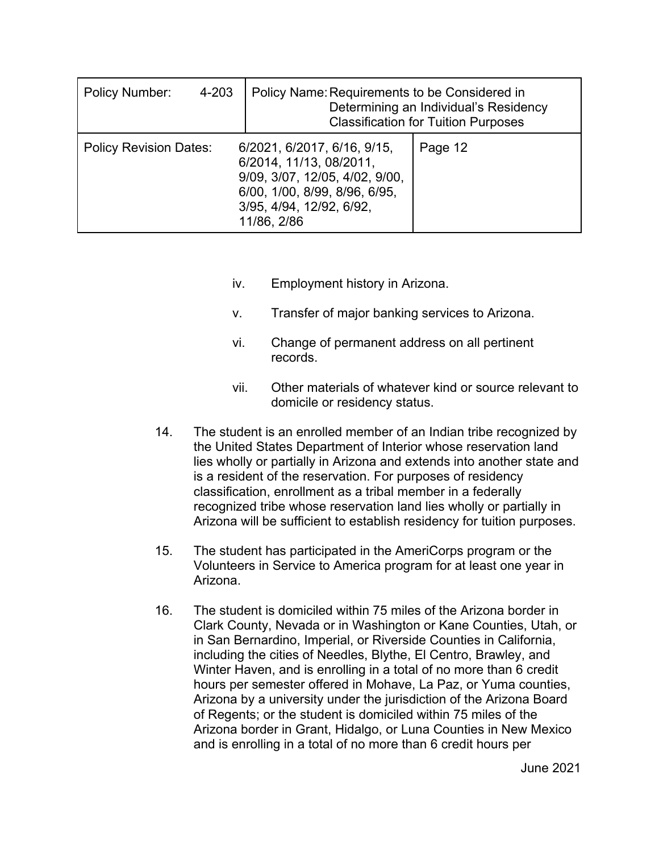| <b>Policy Number:</b><br>4-203 | Policy Name: Requirements to be Considered in                                                                                                                        | Determining an Individual's Residency<br><b>Classification for Tuition Purposes</b> |
|--------------------------------|----------------------------------------------------------------------------------------------------------------------------------------------------------------------|-------------------------------------------------------------------------------------|
| <b>Policy Revision Dates:</b>  | 6/2021, 6/2017, 6/16, 9/15,<br>6/2014, 11/13, 08/2011,<br>9/09, 3/07, 12/05, 4/02, 9/00,<br>6/00, 1/00, 8/99, 8/96, 6/95,<br>3/95, 4/94, 12/92, 6/92,<br>11/86, 2/86 | Page 12                                                                             |

- iv. Employment history in Arizona.
- v. Transfer of major banking services to Arizona.
- vi. Change of permanent address on all pertinent records.
- vii. Other materials of whatever kind or source relevant to domicile or residency status.
- 14. The student is an enrolled member of an Indian tribe recognized by the United States Department of Interior whose reservation land lies wholly or partially in Arizona and extends into another state and is a resident of the reservation. For purposes of residency classification, enrollment as a tribal member in a federally recognized tribe whose reservation land lies wholly or partially in Arizona will be sufficient to establish residency for tuition purposes.
- 15. The student has participated in the AmeriCorps program or the Volunteers in Service to America program for at least one year in Arizona.
- 16. The student is domiciled within 75 miles of the Arizona border in Clark County, Nevada or in Washington or Kane Counties, Utah, or in San Bernardino, Imperial, or Riverside Counties in California, including the cities of Needles, Blythe, El Centro, Brawley, and Winter Haven, and is enrolling in a total of no more than 6 credit hours per semester offered in Mohave, La Paz, or Yuma counties, Arizona by a university under the jurisdiction of the Arizona Board of Regents; or the student is domiciled within 75 miles of the Arizona border in Grant, Hidalgo, or Luna Counties in New Mexico and is enrolling in a total of no more than 6 credit hours per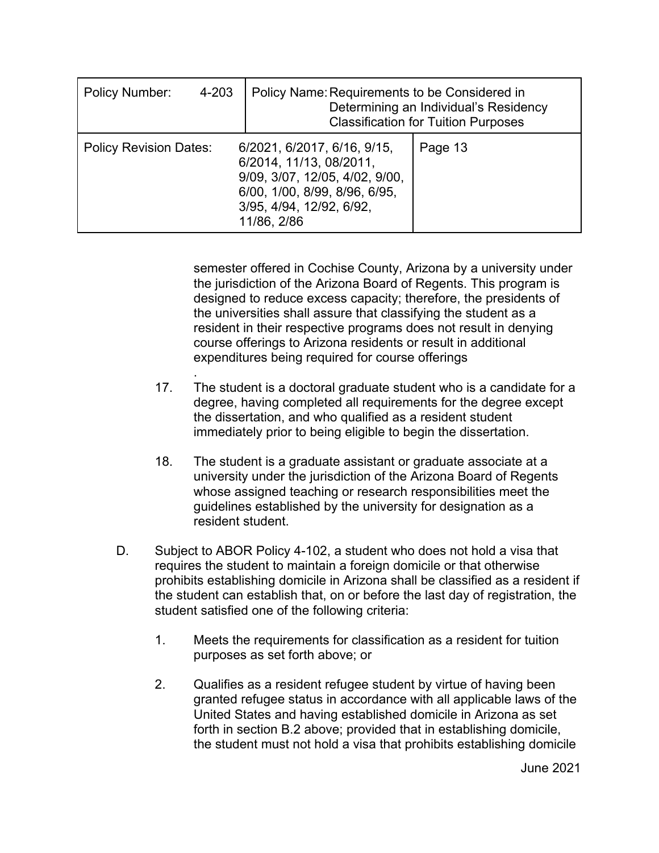| <b>Policy Number:</b>         | 4-203 | Policy Name: Requirements to be Considered in<br>Determining an Individual's Residency<br><b>Classification for Tuition Purposes</b>                                 |         |
|-------------------------------|-------|----------------------------------------------------------------------------------------------------------------------------------------------------------------------|---------|
| <b>Policy Revision Dates:</b> |       | 6/2021, 6/2017, 6/16, 9/15,<br>6/2014, 11/13, 08/2011,<br>9/09, 3/07, 12/05, 4/02, 9/00,<br>6/00, 1/00, 8/99, 8/96, 6/95,<br>3/95, 4/94, 12/92, 6/92,<br>11/86, 2/86 | Page 13 |

semester offered in Cochise County, Arizona by a university under the jurisdiction of the Arizona Board of Regents. This program is designed to reduce excess capacity; therefore, the presidents of the universities shall assure that classifying the student as a resident in their respective programs does not result in denying course offerings to Arizona residents or result in additional expenditures being required for course offerings

- . 17. The student is a doctoral graduate student who is a candidate for a degree, having completed all requirements for the degree except the dissertation, and who qualified as a resident student immediately prior to being eligible to begin the dissertation.
- 18. The student is a graduate assistant or graduate associate at a university under the jurisdiction of the Arizona Board of Regents whose assigned teaching or research responsibilities meet the guidelines established by the university for designation as a resident student.
- D. Subject to ABOR Policy 4-102, a student who does not hold a visa that requires the student to maintain a foreign domicile or that otherwise prohibits establishing domicile in Arizona shall be classified as a resident if the student can establish that, on or before the last day of registration, the student satisfied one of the following criteria:
	- 1. Meets the requirements for classification as a resident for tuition purposes as set forth above; or
	- 2. Qualifies as a resident refugee student by virtue of having been granted refugee status in accordance with all applicable laws of the United States and having established domicile in Arizona as set forth in section B.2 above; provided that in establishing domicile, the student must not hold a visa that prohibits establishing domicile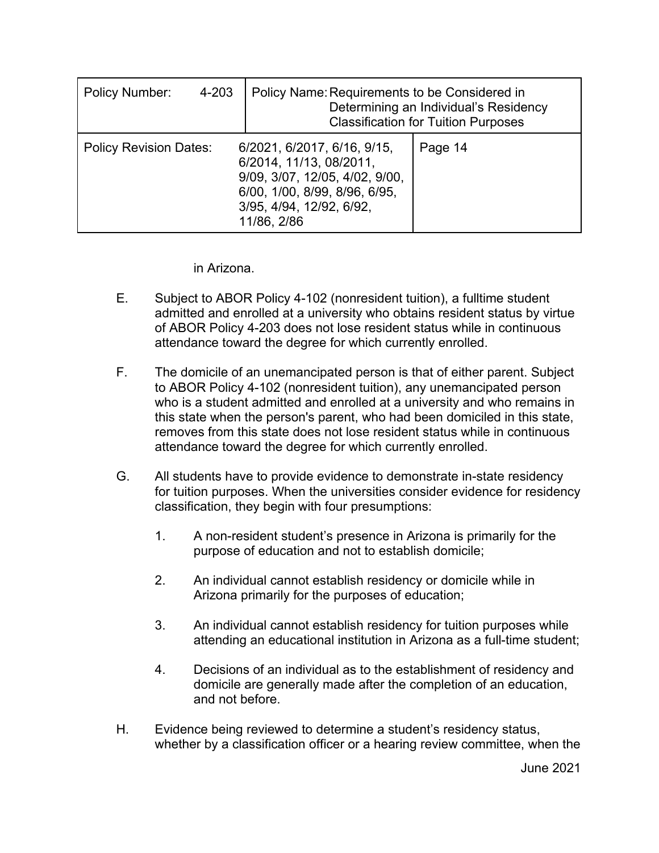| <b>Policy Number:</b>                                                                                                                                                                                 | 4-203 | Policy Name: Requirements to be Considered in<br>Determining an Individual's Residency<br><b>Classification for Tuition Purposes</b> |  |
|-------------------------------------------------------------------------------------------------------------------------------------------------------------------------------------------------------|-------|--------------------------------------------------------------------------------------------------------------------------------------|--|
| <b>Policy Revision Dates:</b><br>6/2021, 6/2017, 6/16, 9/15,<br>6/2014, 11/13, 08/2011,<br>9/09, 3/07, 12/05, 4/02, 9/00,<br>6/00, 1/00, 8/99, 8/96, 6/95,<br>3/95, 4/94, 12/92, 6/92,<br>11/86, 2/86 |       | Page 14                                                                                                                              |  |

in Arizona.

- E. Subject to ABOR Policy 4-102 (nonresident tuition), a fulltime student admitted and enrolled at a university who obtains resident status by virtue of ABOR Policy 4-203 does not lose resident status while in continuous attendance toward the degree for which currently enrolled.
- F. The domicile of an unemancipated person is that of either parent. Subject to ABOR Policy 4-102 (nonresident tuition), any unemancipated person who is a student admitted and enrolled at a university and who remains in this state when the person's parent, who had been domiciled in this state, removes from this state does not lose resident status while in continuous attendance toward the degree for which currently enrolled.
- G. All students have to provide evidence to demonstrate in-state residency for tuition purposes. When the universities consider evidence for residency classification, they begin with four presumptions:
	- 1. A non-resident student's presence in Arizona is primarily for the purpose of education and not to establish domicile;
	- 2. An individual cannot establish residency or domicile while in Arizona primarily for the purposes of education;
	- 3. An individual cannot establish residency for tuition purposes while attending an educational institution in Arizona as a full-time student;
	- 4. Decisions of an individual as to the establishment of residency and domicile are generally made after the completion of an education, and not before.
- H. Evidence being reviewed to determine a student's residency status, whether by a classification officer or a hearing review committee, when the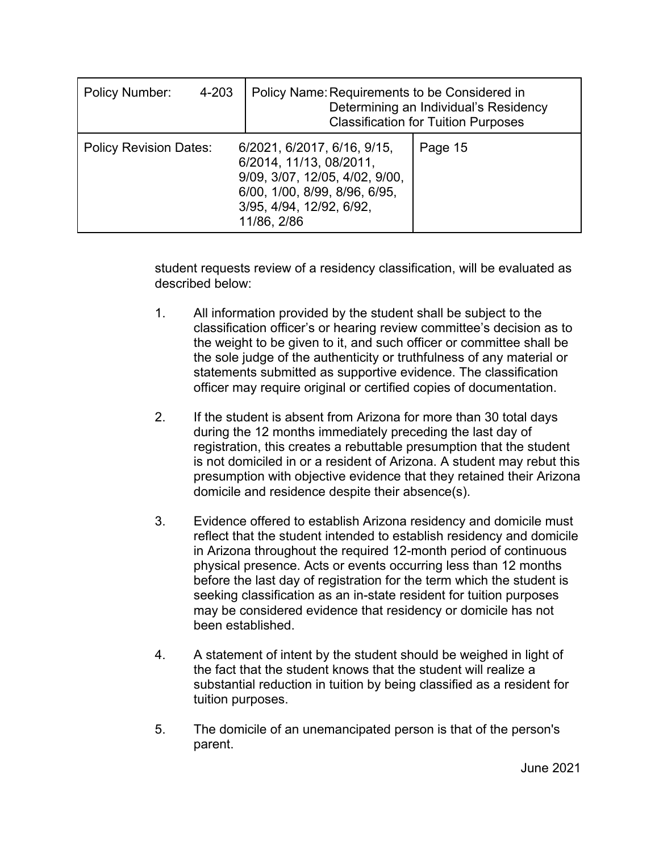| <b>Policy Number:</b><br>4-203 | Policy Name: Requirements to be Considered in                                                                                                                        | Determining an Individual's Residency<br><b>Classification for Tuition Purposes</b> |
|--------------------------------|----------------------------------------------------------------------------------------------------------------------------------------------------------------------|-------------------------------------------------------------------------------------|
| <b>Policy Revision Dates:</b>  | 6/2021, 6/2017, 6/16, 9/15,<br>6/2014, 11/13, 08/2011,<br>9/09, 3/07, 12/05, 4/02, 9/00,<br>6/00, 1/00, 8/99, 8/96, 6/95,<br>3/95, 4/94, 12/92, 6/92,<br>11/86, 2/86 | Page 15                                                                             |

student requests review of a residency classification, will be evaluated as described below:

- 1. All information provided by the student shall be subject to the classification officer's or hearing review committee's decision as to the weight to be given to it, and such officer or committee shall be the sole judge of the authenticity or truthfulness of any material or statements submitted as supportive evidence. The classification officer may require original or certified copies of documentation.
- 2. If the student is absent from Arizona for more than 30 total days during the 12 months immediately preceding the last day of registration, this creates a rebuttable presumption that the student is not domiciled in or a resident of Arizona. A student may rebut this presumption with objective evidence that they retained their Arizona domicile and residence despite their absence(s).
- 3. Evidence offered to establish Arizona residency and domicile must reflect that the student intended to establish residency and domicile in Arizona throughout the required 12-month period of continuous physical presence. Acts or events occurring less than 12 months before the last day of registration for the term which the student is seeking classification as an in-state resident for tuition purposes may be considered evidence that residency or domicile has not been established.
- 4. A statement of intent by the student should be weighed in light of the fact that the student knows that the student will realize a substantial reduction in tuition by being classified as a resident for tuition purposes.
- 5. The domicile of an unemancipated person is that of the person's parent.